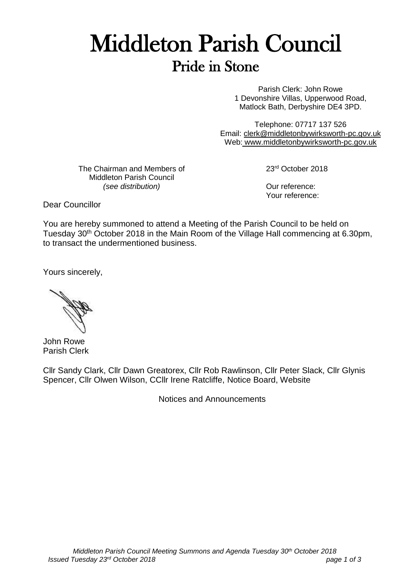## Middleton Parish Council Pride in Stone

Parish Clerk: John Rowe 1 Devonshire Villas, Upperwood Road, Matlock Bath, Derbyshire DE4 3PD.

Telephone: 07717 137 526 Email: [clerk@middletonbywirksworth-pc.gov.uk](mailto:clerk@middletonbywirksworth-pc.gov.uk) Web: [www.middletonbywirksworth-pc.gov.uk](http://www.middletonbywirksworth-pc.gov.uk/)

The Chairman and Members of Middleton Parish Council *(see distribution)*

23rd October 2018

Our reference: Your reference:

Dear Councillor

You are hereby summoned to attend a Meeting of the Parish Council to be held on Tuesday 30<sup>th</sup> October 2018 in the Main Room of the Village Hall commencing at 6.30pm, to transact the undermentioned business.

Yours sincerely,

John Rowe Parish Clerk

Cllr Sandy Clark, Cllr Dawn Greatorex, Cllr Rob Rawlinson, Cllr Peter Slack, Cllr Glynis Spencer, Cllr Olwen Wilson, CCllr Irene Ratcliffe, Notice Board, Website

Notices and Announcements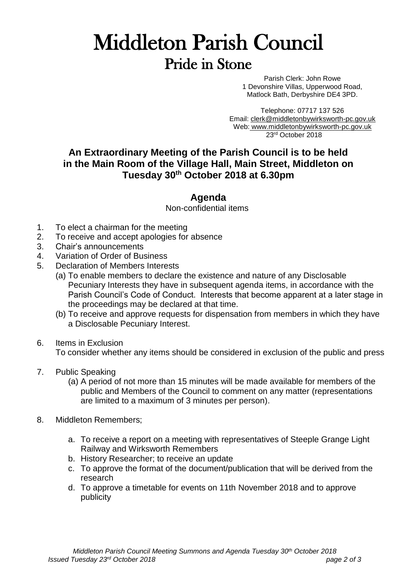## Middleton Parish Council Pride in Stone

Parish Clerk: John Rowe 1 Devonshire Villas, Upperwood Road, Matlock Bath, Derbyshire DE4 3PD.

Telephone: 07717 137 526 Email: [clerk@middletonbywirksworth-pc.gov.uk](mailto:clerk@middletonbywirksworth-pc.gov.uk) Web: [www.middletonbywirksworth-pc.gov.uk](http://www.middletonbywirksworth-pc.gov.uk/) 23rd October 2018

## **An Extraordinary Meeting of the Parish Council is to be held in the Main Room of the Village Hall, Main Street, Middleton on Tuesday 30th October 2018 at 6.30pm**

## **Agenda**

Non-confidential items

- 1. To elect a chairman for the meeting
- 2. To receive and accept apologies for absence
- 3. Chair's announcements
- 4. Variation of Order of Business
- 5. Declaration of Members Interests
	- (a) To enable members to declare the existence and nature of any Disclosable Pecuniary Interests they have in subsequent agenda items, in accordance with the Parish Council's Code of Conduct. Interests that become apparent at a later stage in the proceedings may be declared at that time.
	- (b) To receive and approve requests for dispensation from members in which they have a Disclosable Pecuniary Interest.
- 6. Items in Exclusion

To consider whether any items should be considered in exclusion of the public and press

- 7. Public Speaking
	- (a) A period of not more than 15 minutes will be made available for members of the public and Members of the Council to comment on any matter (representations are limited to a maximum of 3 minutes per person).
- 8. Middleton Remembers;
	- a. To receive a report on a meeting with representatives of Steeple Grange Light Railway and Wirksworth Remembers
	- b. History Researcher; to receive an update
	- c. To approve the format of the document/publication that will be derived from the research
	- d. To approve a timetable for events on 11th November 2018 and to approve publicity